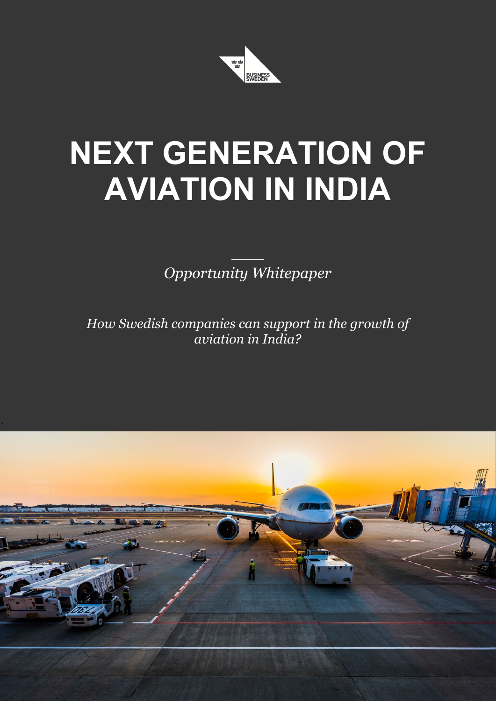

# **NEXT GENERATION OF AVIATION IN INDIA**

*Opportunity Whitepaper*

*How Swedish companies can support in the growth of aviation in India?*

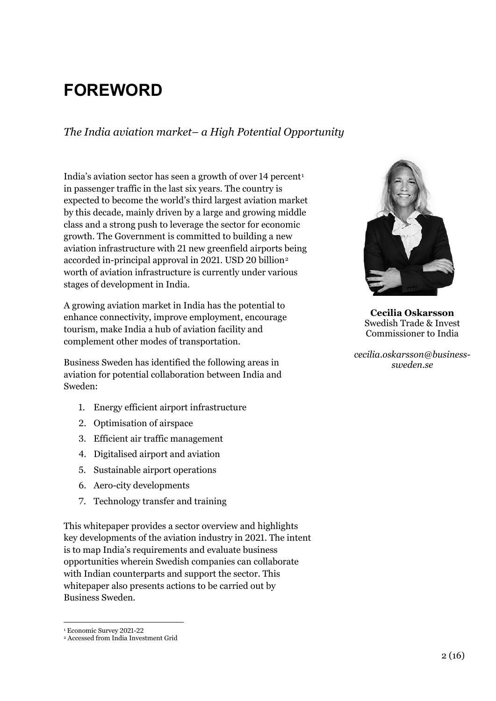# **FOREWORD**

*The India aviation market– a High Potential Opportunity*

India's aviation sector has seen a growth of over [1](#page-1-0)4 percent<sup>1</sup> in passenger traffic in the last six years. The country is expected to become the world's third largest aviation market by this decade, mainly driven by a large and growing middle class and a strong push to leverage the sector for economic growth. The Government is committed to building a new aviation infrastructure with 21 new greenfield airports being accorded in-principal approval in [2](#page-1-1)021. USD 20 billion<sup>2</sup> worth of aviation infrastructure is currently under various stages of development in India.

A growing aviation market in India has the potential to enhance connectivity, improve employment, encourage tourism, make India a hub of aviation facility and complement other modes of transportation.

Business Sweden has identified the following areas in aviation for potential collaboration between India and Sweden:

- 1. Energy efficient airport infrastructure
- 2. Optimisation of airspace
- 3. Efficient air traffic management
- 4. Digitalised airport and aviation
- 5. Sustainable airport operations
- 6. Aero-city developments
- 7. Technology transfer and training

This whitepaper provides a sector overview and highlights key developments of the aviation industry in 2021. The intent is to map India's requirements and evaluate business opportunities wherein Swedish companies can collaborate with Indian counterparts and support the sector. This whitepaper also presents actions to be carried out by Business Sweden.

<span id="page-1-1"></span><span id="page-1-0"></span>

<sup>2</sup> Accessed from India Investment Grid



**Cecilia Oskarsson** Swedish Trade & Invest Commissioner to India

*cecilia.oskarsson@businesssweden.se*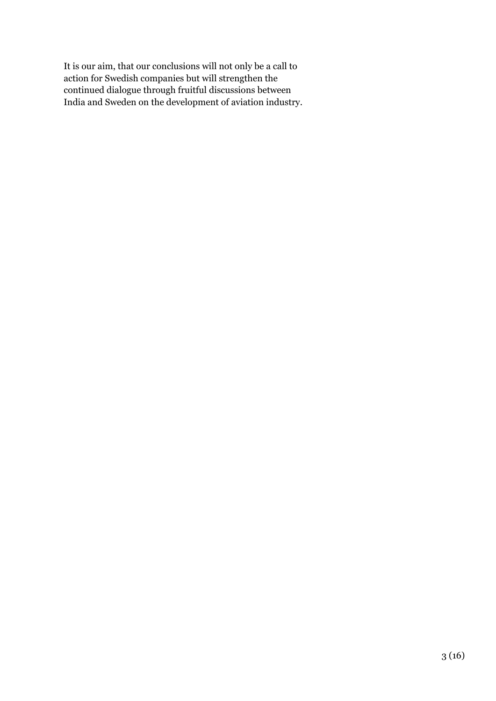It is our aim, that our conclusions will not only be a call to action for Swedish companies but will strengthen the continued dialogue through fruitful discussions between India and Sweden on the development of aviation industry.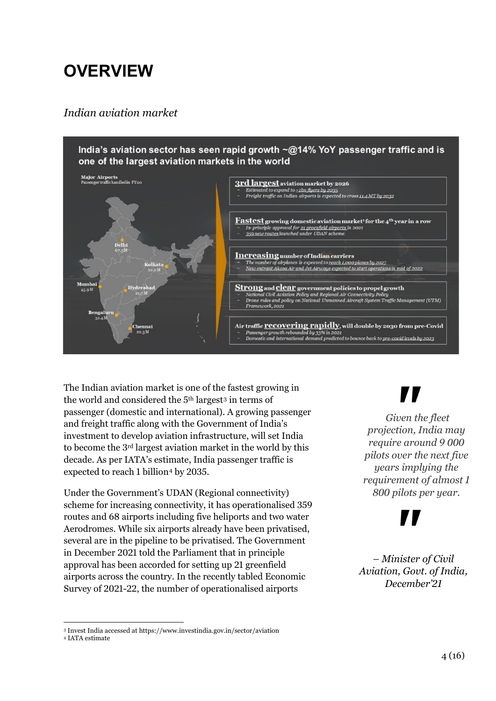# **OVERVIEW**

#### *Indian aviation market*



The Indian aviation market is one of the fastest growing in the world and considered the 5th largest[3](#page-3-0) in terms of passenger (domestic and international). A growing passenger and freight traffic along with the Government of India's investment to develop aviation infrastructure, will set India to become the 3rd largest aviation market in the world by this decade. As per IATA's estimate, India passenger traffic is expected to reach 1 billion<sup>[4](#page-3-1)</sup> by 2035.

Under the Government's UDAN (Regional connectivity) scheme for increasing connectivity, it has operationalised 359 routes and 68 airports including five heliports and two water Aerodromes. While six airports already have been privatised, several are in the pipeline to be privatised. The Government in December 2021 told the Parliament that in principle approval has been accorded for setting up 21 greenfield airports across the country. In the recently tabled Economic Survey of 2021-22, the number of operationalised airports

*Given the fleet projection, India may require around 9 000 pilots over the next five years implying the requirement of almost 1 800 pilots per year.*

*– Minister of Civil Aviation, Govt. of India, December'21*

<span id="page-3-0"></span><sup>1</sup>  $^3$  Invest India accessed at https://www.investindia.gov.in/sector/aviation  $^4$  IATA estimate

<span id="page-3-1"></span>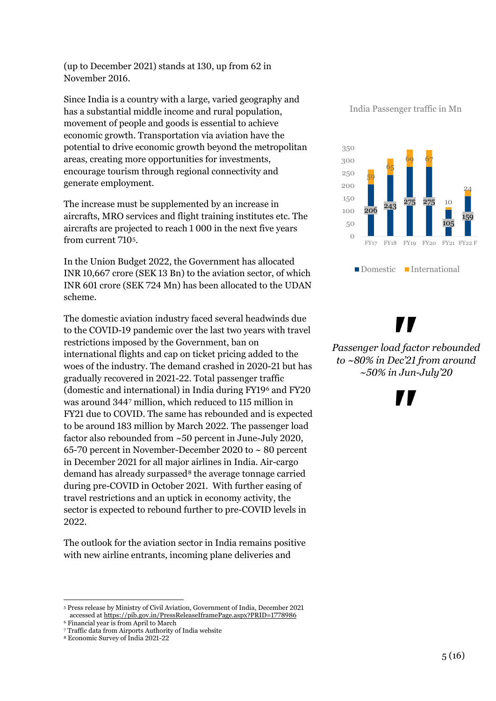(up to December 2021) stands at 130, up from 62 in November 2016.

Since India is a country with a large, varied geography and has a substantial middle income and rural population, movement of people and goods is essential to achieve economic growth. Transportation via aviation have the potential to drive economic growth beyond the metropolitan areas, creating more opportunities for investments, encourage tourism through regional connectivity and generate employment.

The increase must be supplemented by an increase in aircrafts, MRO services and flight training institutes etc. The aircrafts are projected to reach 1 000 in the next five years from current 710[5](#page-4-0).

In the Union Budget 2022, the Government has allocated INR 10,667 crore (SEK 13 Bn) to the aviation sector, of which INR 601 crore (SEK 724 Mn) has been allocated to the UDAN scheme.

The domestic aviation industry faced several headwinds due to the COVID-19 pandemic over the last two years with travel restrictions imposed by the Government, ban on international flights and cap on ticket pricing added to the woes of the industry. The demand crashed in 2020-21 but has gradually recovered in 2021-22. Total passenger traffic (domestic and international) in India during FY19[6](#page-4-1) and FY20 was around 344[7](#page-4-2) million, which reduced to 115 million in FY21 due to COVID. The same has rebounded and is expected to be around 183 million by March 2022. The passenger load factor also rebounded from ~50 percent in June-July 2020, 65-70 percent in November-December 2020 to ~ 80 percent in December 2021 for all major airlines in India. Air-cargo demand has already surpassed<sup>[8](#page-4-3)</sup> the average tonnage carried during pre-COVID in October 2021. With further easing of travel restrictions and an uptick in economy activity, the sector is expected to rebound further to pre-COVID levels in 2022.

The outlook for the aviation sector in India remains positive with new airline entrants, incoming plane deliveries and

1

India Passenger traffic in Mn



V

*Passenger load factor rebounded to ~80% in Dec'21 from around ~50% in Jun-July'20*

<span id="page-4-0"></span><sup>5</sup> Press release by Ministry of Civil Aviation, Government of India, December 2021 accessed at<https://pib.gov.in/PressReleaseIframePage.aspx?PRID=1778986>

<span id="page-4-1"></span><sup>6</sup> Financial year is from April to March

<span id="page-4-2"></span><sup>7</sup> Traffic data from Airports Authority of India website

<span id="page-4-3"></span><sup>8</sup> Economic Survey of India 2021-22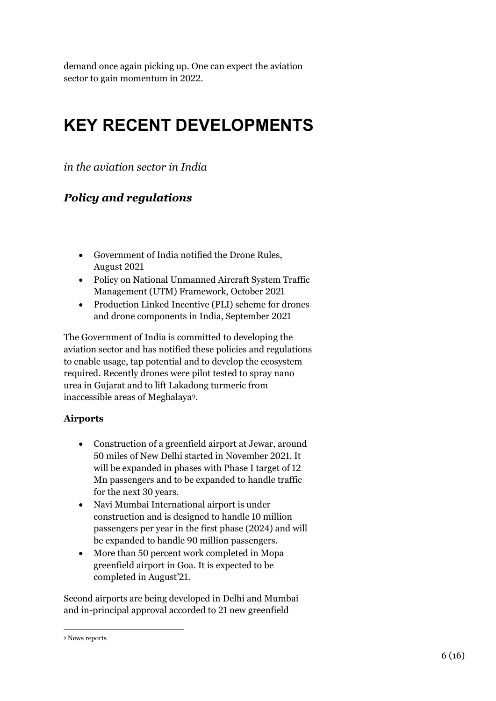demand once again picking up. One can expect the aviation sector to gain momentum in 2022.

# **KEY RECENT DEVELOPMENTS**

*in the aviation sector in India*

### *Policy and regulations*

- Government of India notified the Drone Rules, August 2021
- Policy on National Unmanned Aircraft System Traffic Management (UTM) Framework, October 2021
- Production Linked Incentive (PLI) scheme for drones and drone components in India, September 2021

The Government of India is committed to developing the aviation sector and has notified these policies and regulations to enable usage, tap potential and to develop the ecosystem required. Recently drones were pilot tested to spray nano urea in Gujarat and to lift Lakadong turmeric from inaccessible areas of Meghalaya[9](#page-5-0).

#### **Airports**

- Construction of a greenfield airport at Jewar, around 50 miles of New Delhi started in November 2021. It will be expanded in phases with Phase I target of 12 Mn passengers and to be expanded to handle traffic for the next 30 years.
- Navi Mumbai International airport is under construction and is designed to handle 10 million passengers per year in the first phase (2024) and will be expanded to handle 90 million passengers.
- More than 50 percent work completed in Mopa greenfield airport in Goa. It is expected to be completed in August'21.

Second airports are being developed in Delhi and Mumbai and in-principal approval accorded to 21 new greenfield

<span id="page-5-0"></span><sup>1</sup> <sup>9</sup> News reports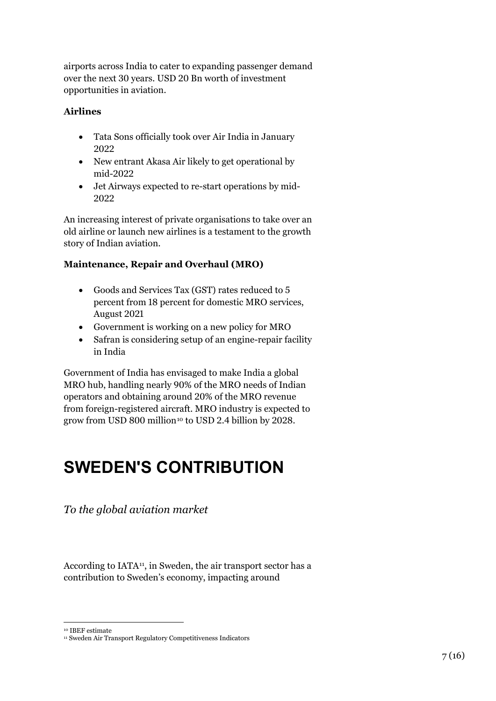airports across India to cater to expanding passenger demand over the next 30 years. USD 20 Bn worth of investment opportunities in aviation.

#### **Airlines**

- Tata Sons officially took over Air India in January 2022
- New entrant Akasa Air likely to get operational by mid-2022
- Jet Airways expected to re-start operations by mid-2022

An increasing interest of private organisations to take over an old airline or launch new airlines is a testament to the growth story of Indian aviation.

#### **Maintenance, Repair and Overhaul (MRO)**

- Goods and Services Tax (GST) rates reduced to 5 percent from 18 percent for domestic MRO services, August 2021
- Government is working on a new policy for MRO
- Safran is considering setup of an engine-repair facility in India

Government of India has envisaged to make India a global MRO hub, handling nearly 90% of the MRO needs of Indian operators and obtaining around 20% of the MRO revenue from foreign-registered aircraft. MRO industry is expected to grow from USD 800 million<sup>[10](#page-6-0)</sup> to USD 2.4 billion by 2028.

## **SWEDEN'S CONTRIBUTION**

*To the global aviation market*

According to IATA<sup>[1](#page-6-1)1</sup>, in Sweden, the air transport sector has a contribution to Sweden's economy, impacting around

<sup>1</sup> <sup>10</sup> IBEF estimate

<span id="page-6-1"></span><span id="page-6-0"></span><sup>&</sup>lt;sup>11</sup> Sweden Air Transport Regulatory Competitiveness Indicators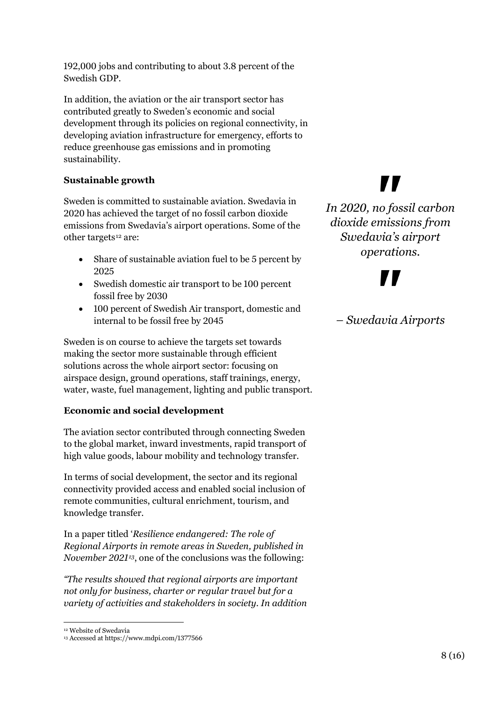192,000 jobs and contributing to about 3.8 percent of the Swedish GDP.

In addition, the aviation or the air transport sector has contributed greatly to Sweden's economic and social development through its policies on regional connectivity, in developing aviation infrastructure for emergency, efforts to reduce greenhouse gas emissions and in promoting sustainability.

#### **Sustainable growth**

Sweden is committed to sustainable aviation. Swedavia in 2020 has achieved the target of no fossil carbon dioxide emissions from Swedavia's airport operations. Some of the other targets<sup>[1](#page-7-0)2</sup> are:

- Share of sustainable aviation fuel to be 5 percent by 2025
- Swedish domestic air transport to be 100 percent fossil free by 2030
- 100 percent of Swedish Air transport, domestic and internal to be fossil free by 2045

Sweden is on course to achieve the targets set towards making the sector more sustainable through efficient solutions across the whole airport sector: focusing on airspace design, ground operations, staff trainings, energy, water, waste, fuel management, lighting and public transport.

#### **Economic and social development**

The aviation sector contributed through connecting Sweden to the global market, inward investments, rapid transport of high value goods, labour mobility and technology transfer.

In terms of social development, the sector and its regional connectivity provided access and enabled social inclusion of remote communities, cultural enrichment, tourism, and knowledge transfer.

In a paper titled '*Resilience endangered: The role of Regional Airports in remote areas in Sweden, published in November 2021[13](#page-7-1)*, one of the conclusions was the following:

*"The results showed that regional airports are important not only for business, charter or regular travel but for a variety of activities and stakeholders in society. In addition* 

# 77

*In 2020, no fossil carbon dioxide emissions from Swedavia's airport operations.*

*– Swedavia Airports*

<sup>1</sup> <sup>12</sup> Website of Swedavia

<span id="page-7-1"></span><span id="page-7-0"></span><sup>13</sup> Accessed at https://www.mdpi.com/1377566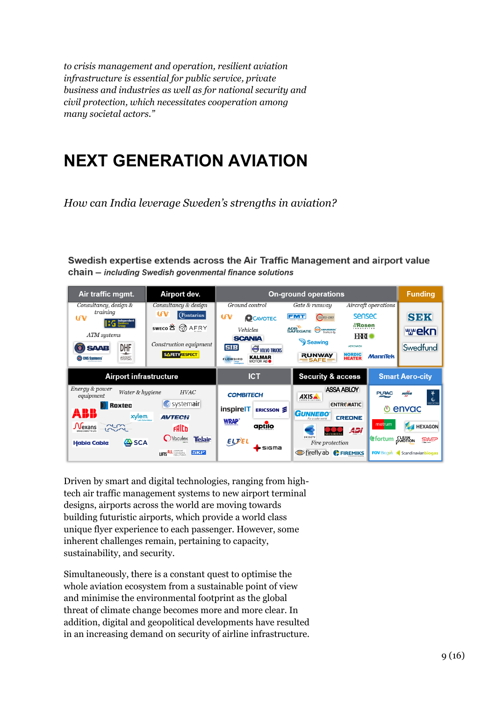*to crisis management and operation, resilient aviation infrastructure is essential for public service, private business and industries as well as for national security and civil protection, which necessitates cooperation among many societal actors."* 

# **NEXT GENERATION AVIATION**

*How can India leverage Sweden's strengths in aviation?* 

Swedish expertise extends across the Air Traffic Management and airport value chain - including Swedish govenmental finance solutions



Driven by smart and digital technologies, ranging from hightech air traffic management systems to new airport terminal designs, airports across the world are moving towards building futuristic airports, which provide a world class unique flyer experience to each passenger. However, some inherent challenges remain, pertaining to capacity, sustainability, and security.

Simultaneously, there is a constant quest to optimise the whole aviation ecosystem from a sustainable point of view and minimise the environmental footprint as the global threat of climate change becomes more and more clear. In addition, digital and geopolitical developments have resulted in an increasing demand on security of airline infrastructure.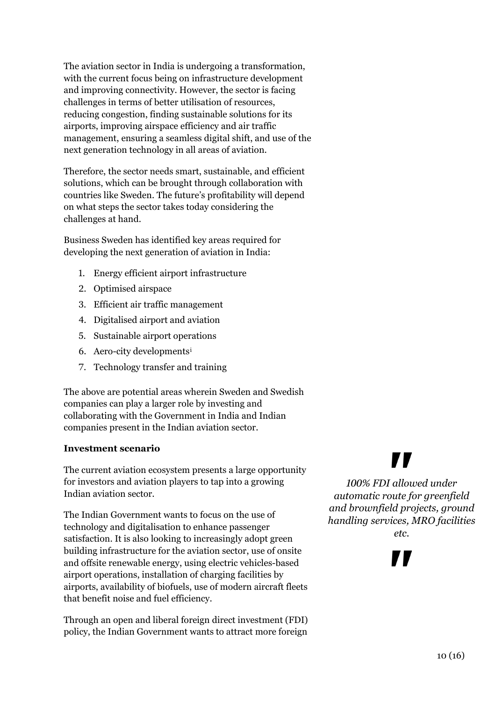The aviation sector in India is undergoing a transformation, with the current focus being on infrastructure development and improving connectivity. However, the sector is facing challenges in terms of better utilisation of resources, reducing congestion, finding sustainable solutions for its airports, improving airspace efficiency and air traffic management, ensuring a seamless digital shift, and use of the next generation technology in all areas of aviation.

Therefore, the sector needs smart, sustainable, and efficient solutions, which can be brought through collaboration with countries like Sweden. The future's profitability will depend on what steps the sector takes today considering the challenges at hand.

Business Sweden has identified key areas required for developing the next generation of aviation in India:

- 1. Energy efficient airport infrastructure
- 2. Optimised airspace
- 3. Efficient air traffic management
- 4. Digitalised airport and aviation
- 5. Sustainable airport operations
- 6. Aero-city developments[i](#page-15-0)
- 7. Technology transfer and training

The above are potential areas wherein Sweden and Swedish companies can play a larger role by investing and collaborating with the Government in India and Indian companies present in the Indian aviation sector.

#### **Investment scenario**

The current aviation ecosystem presents a large opportunity for investors and aviation players to tap into a growing Indian aviation sector.

The Indian Government wants to focus on the use of technology and digitalisation to enhance passenger satisfaction. It is also looking to increasingly adopt green building infrastructure for the aviation sector, use of onsite and offsite renewable energy, using electric vehicles-based airport operations, installation of charging facilities by airports, availability of biofuels, use of modern aircraft fleets that benefit noise and fuel efficiency.

Through an open and liberal foreign direct investment (FDI) policy, the Indian Government wants to attract more foreign

# $\blacksquare$

*100% FDI allowed under automatic route for greenfield and brownfield projects, ground handling services, MRO facilities etc.*

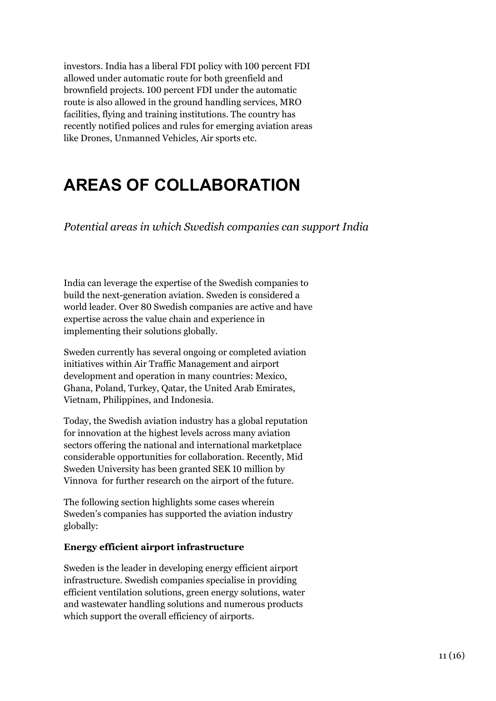investors. India has a liberal FDI policy with 100 percent FDI allowed under automatic route for both greenfield and brownfield projects. 100 percent FDI under the automatic route is also allowed in the ground handling services, MRO facilities, flying and training institutions. The country has recently notified polices and rules for emerging aviation areas like Drones, Unmanned Vehicles, Air sports etc.

## **AREAS OF COLLABORATION**

*Potential areas in which Swedish companies can support India*

India can leverage the expertise of the Swedish companies to build the next-generation aviation. Sweden is considered a world leader. Over 80 Swedish companies are active and have expertise across the value chain and experience in implementing their solutions globally.

Sweden currently has several ongoing or completed aviation initiatives within Air Traffic Management and airport development and operation in many countries: Mexico, Ghana, Poland, Turkey, Qatar, the United Arab Emirates, Vietnam, Philippines, and Indonesia.

Today, the Swedish aviation industry has a global reputation for innovation at the highest levels across many aviation sectors offering the national and international marketplace considerable opportunities for collaboration. Recently, Mid Sweden University has been granted SEK 10 million by Vinnova for further research on the airport of the future.

The following section highlights some cases wherein Sweden's companies has supported the aviation industry globally:

#### **Energy efficient airport infrastructure**

Sweden is the leader in developing energy efficient airport infrastructure. Swedish companies specialise in providing efficient ventilation solutions, green energy solutions, water and wastewater handling solutions and numerous products which support the overall efficiency of airports.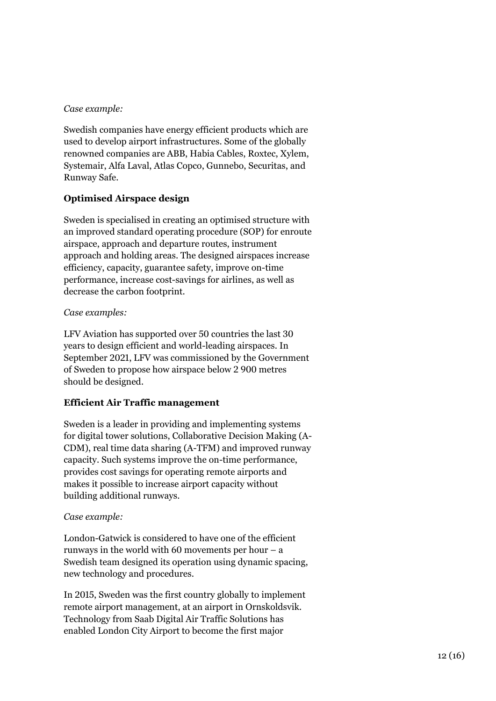#### *Case example:*

Swedish companies have energy efficient products which are used to develop airport infrastructures. Some of the globally renowned companies are ABB, Habia Cables, Roxtec, Xylem, Systemair, Alfa Laval, Atlas Copco, Gunnebo, Securitas, and Runway Safe.

#### **Optimised Airspace design**

Sweden is specialised in creating an optimised structure with an improved standard operating procedure (SOP) for enroute airspace, approach and departure routes, instrument approach and holding areas. The designed airspaces increase efficiency, capacity, guarantee safety, improve on-time performance, increase cost-savings for airlines, as well as decrease the carbon footprint.

#### *Case examples:*

LFV Aviation has supported over 50 countries the last 30 years to design efficient and world-leading airspaces. In September 2021, LFV was commissioned by the Government of Sweden to propose how airspace below 2 900 metres should be designed.

#### **Efficient Air Traffic management**

Sweden is a leader in providing and implementing systems for digital tower solutions, Collaborative Decision Making (A-CDM), real time data sharing (A-TFM) and improved runway capacity. Such systems improve the on-time performance, provides cost savings for operating remote airports and makes it possible to increase airport capacity without building additional runways.

#### *Case example:*

London-Gatwick is considered to have one of the efficient runways in the world with 60 movements per hour  $-$  a Swedish team designed its operation using dynamic spacing, new technology and procedures.

In 2015, Sweden was the first country globally to implement remote airport management, at an airport in Ornskoldsvik. Technology from Saab Digital Air Traffic Solutions has enabled London City Airport to become the first major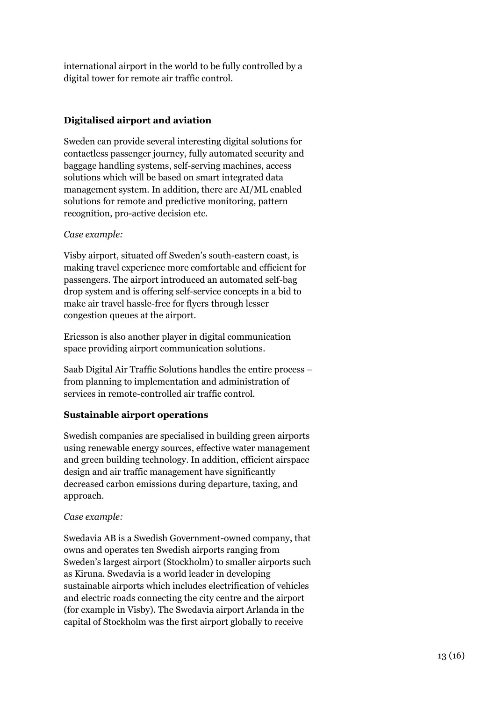international airport in the world to be fully controlled by a digital tower for remote air traffic control.

#### **Digitalised airport and aviation**

Sweden can provide several interesting digital solutions for contactless passenger journey, fully automated security and baggage handling systems, self-serving machines, access solutions which will be based on smart integrated data management system. In addition, there are AI/ML enabled solutions for remote and predictive monitoring, pattern recognition, pro-active decision etc.

#### *Case example:*

Visby airport, situated off Sweden's south-eastern coast, is making travel experience more comfortable and efficient for passengers. The airport introduced an automated self-bag drop system and is offering self-service concepts in a bid to make air travel hassle-free for flyers through lesser congestion queues at the airport.

Ericsson is also another player in digital communication space providing airport communication solutions.

Saab Digital Air Traffic Solutions handles the entire process – from planning to implementation and administration of services in remote-controlled air traffic control.

#### **Sustainable airport operations**

Swedish companies are specialised in building green airports using renewable energy sources, effective water management and green building technology. In addition, efficient airspace design and air traffic management have significantly decreased carbon emissions during departure, taxing, and approach.

#### *Case example:*

Swedavia AB is a Swedish Government-owned company, that owns and operates ten Swedish airports ranging from Sweden's largest airport (Stockholm) to smaller airports such as Kiruna. Swedavia is a world leader in developing sustainable airports which includes electrification of vehicles and electric roads connecting the city centre and the airport (for example in Visby). The Swedavia airport Arlanda in the capital of Stockholm was the first airport globally to receive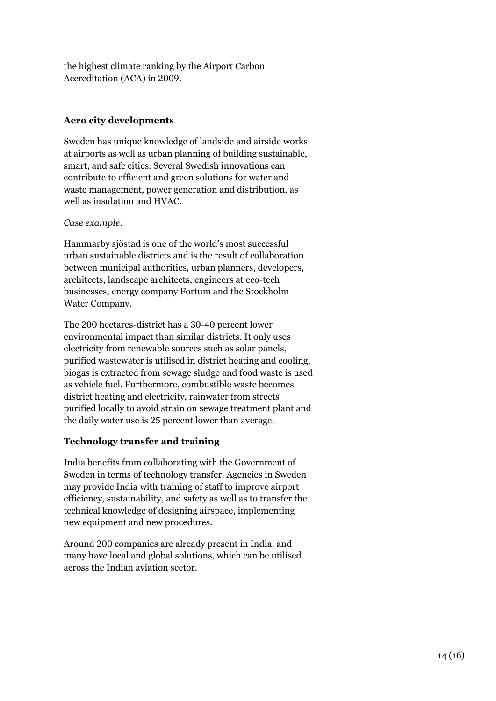the highest climate ranking by the Airport Carbon Accreditation (ACA) in 2009.

#### **Aero city developments**

Sweden has unique knowledge of landside and airside works at airports as well as urban planning of building sustainable, smart, and safe cities. Several Swedish innovations can contribute to efficient and green solutions for water and waste management, power generation and distribution, as well as insulation and HVAC.

#### *Case example:*

Hammarby sjöstad is one of the world's most successful urban sustainable districts and is the result of collaboration between municipal authorities, urban planners, developers, architects, landscape architects, engineers at eco-tech businesses, energy company Fortum and the Stockholm Water Company.

The 200 hectares-district has a 30-40 percent lower environmental impact than similar districts. It only uses electricity from renewable sources such as solar panels, purified wastewater is utilised in district heating and cooling, biogas is extracted from sewage sludge and food waste is used as vehicle fuel. Furthermore, combustible waste becomes district heating and electricity, rainwater from streets purified locally to avoid strain on sewage treatment plant and the daily water use is 25 percent lower than average.

#### **Technology transfer and training**

India benefits from collaborating with the Government of Sweden in terms of technology transfer. Agencies in Sweden may provide India with training of staff to improve airport efficiency, sustainability, and safety as well as to transfer the technical knowledge of designing airspace, implementing new equipment and new procedures.

Around 200 companies are already present in India, and many have local and global solutions, which can be utilised across the Indian aviation sector.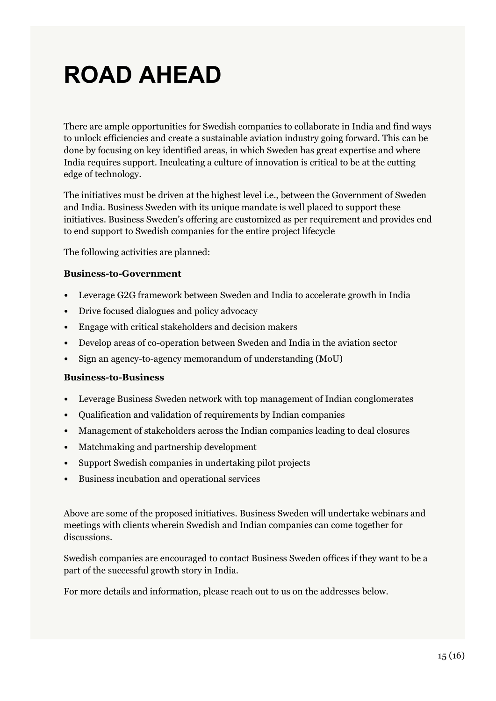# **ROAD AHEAD**

There are ample opportunities for Swedish companies to collaborate in India and find ways to unlock efficiencies and create a sustainable aviation industry going forward. This can be done by focusing on key identified areas, in which Sweden has great expertise and where India requires support. Inculcating a culture of innovation is critical to be at the cutting edge of technology.

The initiatives must be driven at the highest level i.e., between the Government of Sweden and India. Business Sweden with its unique mandate is well placed to support these initiatives. Business Sweden's offering are customized as per requirement and provides end to end support to Swedish companies for the entire project lifecycle

The following activities are planned:

#### **Business-to-Government**

- Leverage G2G framework between Sweden and India to accelerate growth in India
- Drive focused dialogues and policy advocacy
- Engage with critical stakeholders and decision makers
- Develop areas of co-operation between Sweden and India in the aviation sector
- Sign an agency-to-agency memorandum of understanding (MoU)

#### **Business-to-Business**

- Leverage Business Sweden network with top management of Indian conglomerates
- Qualification and validation of requirements by Indian companies
- Management of stakeholders across the Indian companies leading to deal closures
- Matchmaking and partnership development
- Support Swedish companies in undertaking pilot projects
- Business incubation and operational services

Above are some of the proposed initiatives. Business Sweden will undertake webinars and meetings with clients wherein Swedish and Indian companies can come together for discussions.

Swedish companies are encouraged to contact Business Sweden offices if they want to be a part of the successful growth story in India.

For more details and information, please reach out to us on the addresses below.